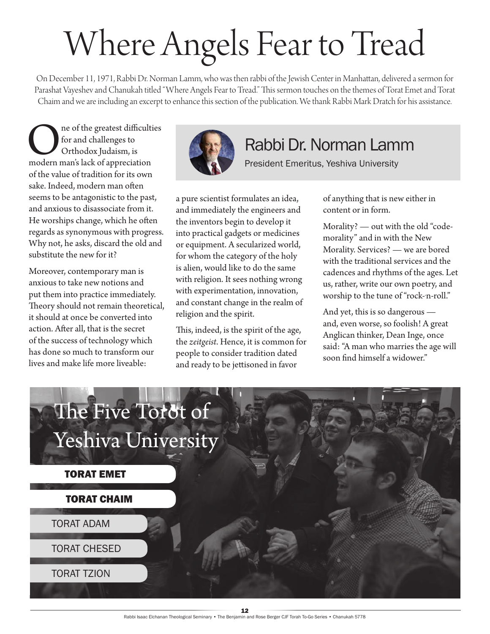## Where Angels Fear to Tread

On December 11, 1971, Rabbi Dr. Norman Lamm, who was then rabbi of the Jewish Center in Manhattan, delivered a sermon for Parashat Vayeshev and Chanukah titled "Where Angels Fear to Tread." This sermon touches on the themes of Torat Emet and Torat Chaim and we are including an excerpt to enhance this section of the publication. We thank Rabbi Mark Dratch for his assistance.

**OREGEN** In the greatest difficulties<br>
for and challenges to<br>
Orthodox Judaism, is<br>
modern man's lack of appreciation for and challenges to Orthodox Judaism, is of the value of tradition for its own sake. Indeed, modern man often seems to be antagonistic to the past, and anxious to disassociate from it. He worships change, which he often regards as synonymous with progress. Why not, he asks, discard the old and substitute the new for it?

Moreover, contemporary man is anxious to take new notions and put them into practice immediately. Theory should not remain theoretical, it should at once be converted into action. After all, that is the secret of the success of technology which has done so much to transform our lives and make life more liveable:



## Rabbi Dr. Norman Lamm

President Emeritus, Yeshiva University

a pure scientist formulates an idea, and immediately the engineers and the inventors begin to develop it into practical gadgets or medicines or equipment. A secularized world, for whom the category of the holy is alien, would like to do the same with religion. It sees nothing wrong with experimentation, innovation, and constant change in the realm of religion and the spirit.

This, indeed, is the spirit of the age, the *zeitgeist*. Hence, it is common for people to consider tradition dated and ready to be jettisoned in favor

of anything that is new either in content or in form.

Morality? — out with the old "codemorality" and in with the New Morality. Services? — we are bored with the traditional services and the cadences and rhythms of the ages. Let us, rather, write our own poetry, and worship to the tune of "rock-'n-roll."

And yet, this is so dangerous and, even worse, so foolish! A great Anglican thinker, Dean Inge, once said: "A man who marries the age will soon find himself a widower."

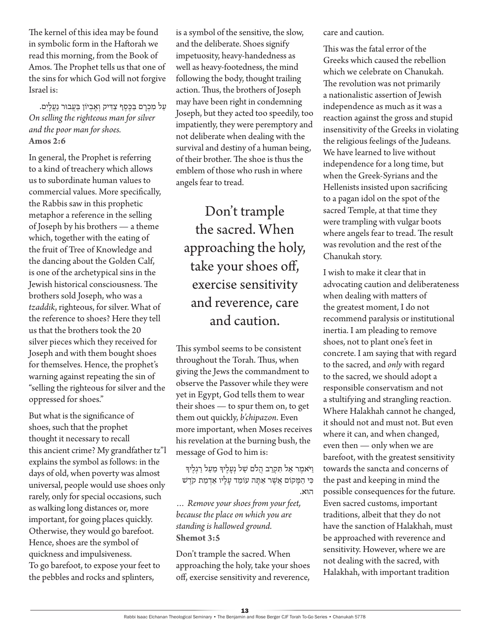The kernel of this idea may be found in symbolic form in the Haftorah we read this morning, from the Book of Amos. The Prophet tells us that one of the sins for which God will not forgive Israel is:

## עַל מִכְרַם בַּכֶּסֶף צַדִּיק וְאֵבְיוֹן בַּעֲבוּר נַעֲלַיִם. *On selling the righteous man for silver and the poor man for shoes.* **Amos 2:6**

In general, the Prophet is referring to a kind of treachery which allows us to subordinate human values to commercial values. More specifically, the Rabbis saw in this prophetic metaphor a reference in the selling of Joseph by his brothers — a theme which, together with the eating of the fruit of Tree of Knowledge and the dancing about the Golden Calf, is one of the archetypical sins in the Jewish historical consciousness. The brothers sold Joseph, who was a *tzaddik*, righteous, for silver. What of the reference to shoes? Here they tell us that the brothers took the 20 silver pieces which they received for Joseph and with them bought shoes for themselves. Hence, the prophet's warning against repeating the sin of "selling the righteous for silver and the oppressed for shoes."

But what is the significance of shoes, such that the prophet thought it necessary to recall this ancient crime? My grandfather tz"l explains the symbol as follows: in the days of old, when poverty was almost universal, people would use shoes only rarely, only for special occasions, such as walking long distances or, more important, for going places quickly. Otherwise, they would go barefoot. Hence, shoes are the symbol of quickness and impulsiveness. To go barefoot, to expose your feet to the pebbles and rocks and splinters,

is a symbol of the sensitive, the slow, and the deliberate. Shoes signify impetuosity, heavy-handedness as well as heavy-footedness, the mind following the body, thought trailing action. Thus, the brothers of Joseph may have been right in condemning Joseph, but they acted too speedily, too impatiently, they were peremptory and not deliberate when dealing with the survival and destiny of a human being, of their brother. The shoe is thus the emblem of those who rush in where angels fear to tread.

Don't trample the sacred. When approaching the holy, take your shoes off, exercise sensitivity and reverence, care and caution.

This symbol seems to be consistent throughout the Torah. Thus, when giving the Jews the commandment to observe the Passover while they were yet in Egypt, God tells them to wear their shoes — to spur them on, to get them out quickly, *b'chipazon*. Even more important, when Moses receives his revelation at the burning bush, the message of God to him is:

וַ יֹּאמֶר אַל תִּקְרַב הֲלֹם שַׁל נְעֲלֵיךָ מֵעַל רַגְלֵיךָ כִּי הַמַּקוֹם אֲשֶׁר אַתָּה עוֹמֵד עַלָיו אַדְמַת קֹדֵשׁ הּוא.

*… Remove your shoes from your feet, because the place on which you are standing is hallowed ground.* **Shemot 3:5**

Don't trample the sacred. When approaching the holy, take your shoes off, exercise sensitivity and reverence,

care and caution.

This was the fatal error of the Greeks which caused the rebellion which we celebrate on Chanukah. The revolution was not primarily a nationalistic assertion of Jewish independence as much as it was a reaction against the gross and stupid insensitivity of the Greeks in violating the religious feelings of the Judeans. We have learned to live without independence for a long time, but when the Greek-Syrians and the Hellenists insisted upon sacrificing to a pagan idol on the spot of the sacred Temple, at that time they were trampling with vulgar boots where angels fear to tread. The result was revolution and the rest of the Chanukah story.

I wish to make it clear that in advocating caution and deliberateness when dealing with matters of the greatest moment, I do not recommend paralysis or institutional inertia. I am pleading to remove shoes, not to plant one's feet in concrete. I am saying that with regard to the sacred, and *only* with regard to the sacred, we should adopt a responsible conservatism and not a stultifying and strangling reaction. Where Halakhah cannot he changed, it should not and must not. But even where it can, and when changed, even then — only when we are barefoot, with the greatest sensitivity towards the sancta and concerns of the past and keeping in mind the possible consequences for the future. Even sacred customs, important traditions, albeit that they do not have the sanction of Halakhah, must be approached with reverence and sensitivity. However, where we are not dealing with the sacred, with Halakhah, with important tradition